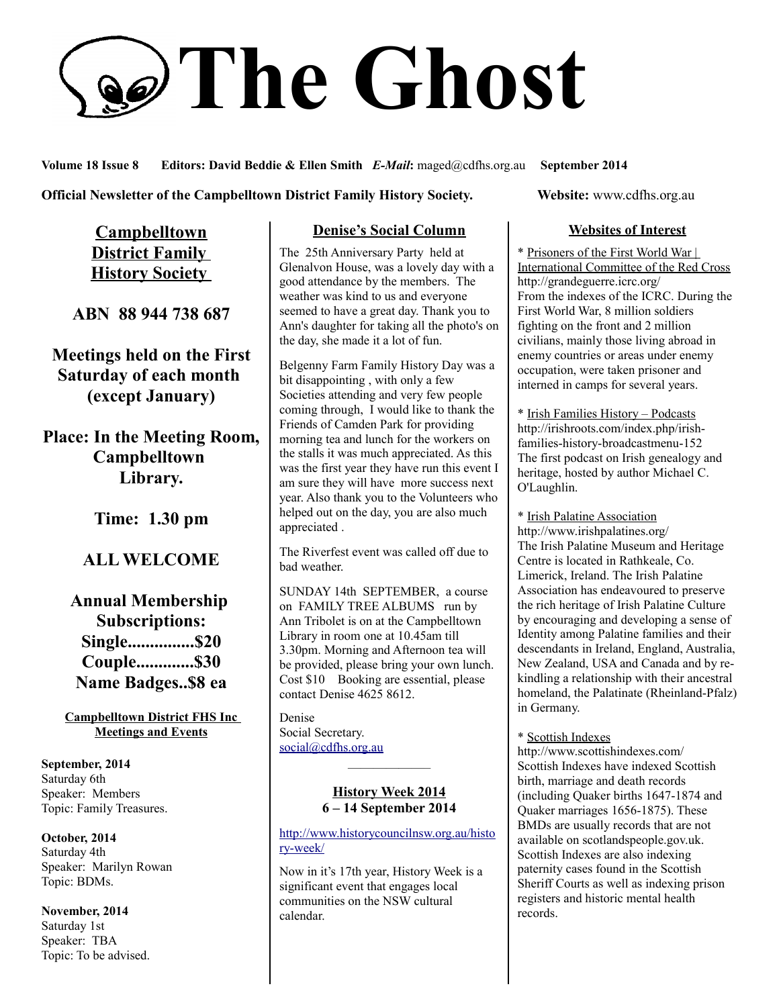# **The Ghost**

#### **Volume 18 Issue 8 Editors: David Beddie & Ellen Smith** *E-Mail***:** maged@cdfhs.org.au **September 2014**

#### **Official Newsletter of the Campbelltown District Family History Society. Website: www.cdfhs.org.au**

**Campbelltown District Family History Society** 

**ABN 88 944 738 687**

**Meetings held on the First Saturday of each month (except January)**

**Place: In the Meeting Room, Campbelltown Library.**

**Time: 1.30 pm**

# **ALL WELCOME**

# **Annual Membership Subscriptions: Single...............\$20 Couple.............\$30 Name Badges..\$8 ea**

**Campbelltown District FHS Inc Meetings and Events**

**September, 2014** Saturday 6th Speaker: Members Topic: Family Treasures.

**October, 2014** Saturday 4th Speaker: Marilyn Rowan Topic: BDMs.

**November, 2014** Saturday 1st Speaker: TBA Topic: To be advised.

### **Denise's Social Column**

The 25th Anniversary Party held at Glenalvon House, was a lovely day with a good attendance by the members. The weather was kind to us and everyone seemed to have a great day. Thank you to Ann's daughter for taking all the photo's on the day, she made it a lot of fun.

Belgenny Farm Family History Day was a bit disappointing , with only a few Societies attending and very few people coming through, I would like to thank the Friends of Camden Park for providing morning tea and lunch for the workers on the stalls it was much appreciated. As this was the first year they have run this event I am sure they will have more success next year. Also thank you to the Volunteers who helped out on the day, you are also much appreciated .

The Riverfest event was called off due to bad weather.

SUNDAY 14th SEPTEMBER, a course on FAMILY TREE ALBUMS run by Ann Tribolet is on at the Campbelltown Library in room one at 10.45am till 3.30pm. Morning and Afternoon tea will be provided, please bring your own lunch. Cost \$10 Booking are essential, please contact Denise 4625 8612.

Denise Social Secretary. [social@cdfhs.org.au](mailto:social@cdfhs.org.au)

#### **History Week 2014 6 – 14 September 2014**

——————–

#### [http://www.historycouncilnsw.org.au/histo](http://www.historycouncilnsw.org.au/history-week/) [ry-week/](http://www.historycouncilnsw.org.au/history-week/)

Now in it's 17th year, History Week is a significant event that engages local communities on the NSW cultural calendar.

#### **Websites of Interest**

\* Prisoners of the First World War | International Committee of the Red Cross http://grandeguerre.icrc.org/ From the indexes of the ICRC. During the First World War, 8 million soldiers fighting on the front and 2 million civilians, mainly those living abroad in enemy countries or areas under enemy occupation, were taken prisoner and interned in camps for several years.

\* Irish Families History – Podcasts http://irishroots.com/index.php/irishfamilies-history-broadcastmenu-152 The first podcast on Irish genealogy and heritage, hosted by author Michael C. O'Laughlin.

\* Irish Palatine Association http://www.irishpalatines.org/ The Irish Palatine Museum and Heritage Centre is located in Rathkeale, Co. Limerick, Ireland. The Irish Palatine Association has endeavoured to preserve the rich heritage of Irish Palatine Culture by encouraging and developing a sense of Identity among Palatine families and their descendants in Ireland, England, Australia, New Zealand, USA and Canada and by rekindling a relationship with their ancestral homeland, the Palatinate (Rheinland-Pfalz) in Germany.

\* Scottish Indexes

http://www.scottishindexes.com/ Scottish Indexes have indexed Scottish birth, marriage and death records (including Quaker births 1647-1874 and Quaker marriages 1656-1875). These BMDs are usually records that are not available on scotlandspeople.gov.uk. Scottish Indexes are also indexing paternity cases found in the Scottish Sheriff Courts as well as indexing prison registers and historic mental health records.